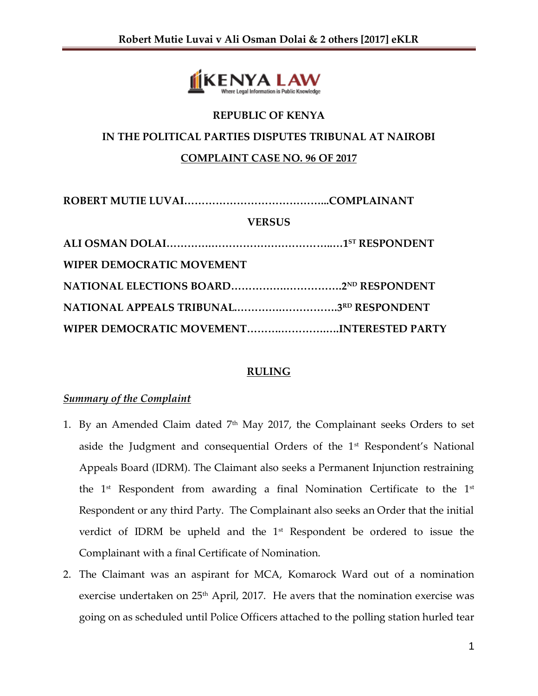

# **REPUBLIC OF KENYA IN THE POLITICAL PARTIES DISPUTES TRIBUNAL AT NAIROBI COMPLAINT CASE NO. 96 OF 2017**

| <b>VERSUS</b>                    |                                           |
|----------------------------------|-------------------------------------------|
|                                  |                                           |
| <b>WIPER DEMOCRATIC MOVEMENT</b> |                                           |
|                                  |                                           |
|                                  | NATIONAL APPEALS TRIBUNAL3RD RESPONDENT   |
|                                  | WIPER DEMOCRATIC MOVEMENTINTERESTED PARTY |

## **RULING**

## *Summary of the Complaint*

- 1. By an Amended Claim dated  $7<sup>th</sup>$  May 2017, the Complainant seeks Orders to set aside the Judgment and consequential Orders of the  $1<sup>st</sup>$  Respondent's National Appeals Board (IDRM). The Claimant also seeks a Permanent Injunction restraining the  $1^{st}$  Respondent from awarding a final Nomination Certificate to the  $1^{st}$ Respondent or any third Party. The Complainant also seeks an Order that the initial verdict of IDRM be upheld and the 1<sup>st</sup> Respondent be ordered to issue the Complainant with a final Certificate of Nomination.
- 2. The Claimant was an aspirant for MCA, Komarock Ward out of a nomination exercise undertaken on 25<sup>th</sup> April, 2017. He avers that the nomination exercise was going on as scheduled until Police Officers attached to the polling station hurled tear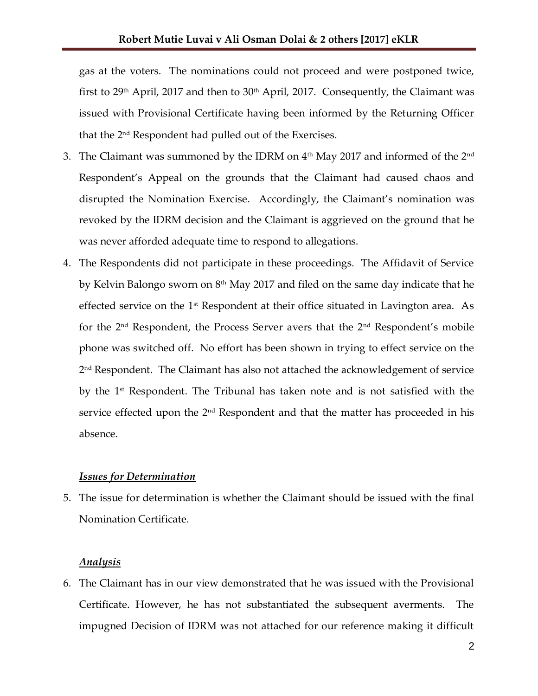gas at the voters. The nominations could not proceed and were postponed twice, first to  $29<sup>th</sup>$  April, 2017 and then to  $30<sup>th</sup>$  April, 2017. Consequently, the Claimant was issued with Provisional Certificate having been informed by the Returning Officer that the 2nd Respondent had pulled out of the Exercises.

- 3. The Claimant was summoned by the IDRM on  $4<sup>th</sup>$  May 2017 and informed of the  $2<sup>nd</sup>$ Respondent's Appeal on the grounds that the Claimant had caused chaos and disrupted the Nomination Exercise. Accordingly, the Claimant's nomination was revoked by the IDRM decision and the Claimant is aggrieved on the ground that he was never afforded adequate time to respond to allegations.
- 4. The Respondents did not participate in these proceedings. The Affidavit of Service by Kelvin Balongo sworn on  $8<sup>th</sup>$  May 2017 and filed on the same day indicate that he effected service on the  $1<sup>st</sup>$  Respondent at their office situated in Lavington area. As for the  $2<sup>nd</sup>$  Respondent, the Process Server avers that the  $2<sup>nd</sup>$  Respondent's mobile phone was switched off. No effort has been shown in trying to effect service on the 2 nd Respondent. The Claimant has also not attached the acknowledgement of service by the 1st Respondent. The Tribunal has taken note and is not satisfied with the service effected upon the  $2<sup>nd</sup>$  Respondent and that the matter has proceeded in his absence.

#### *Issues for Determination*

5. The issue for determination is whether the Claimant should be issued with the final Nomination Certificate.

### *Analysis*

6. The Claimant has in our view demonstrated that he was issued with the Provisional Certificate. However, he has not substantiated the subsequent averments. The impugned Decision of IDRM was not attached for our reference making it difficult